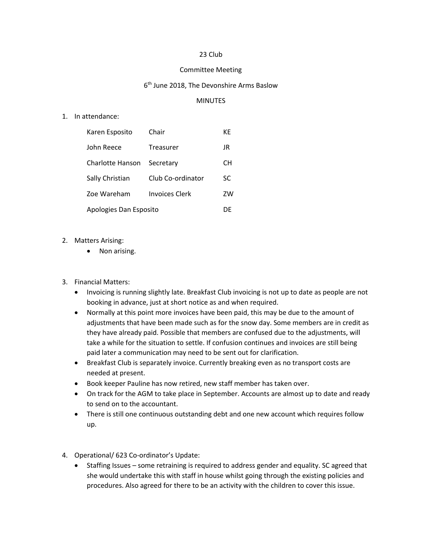## 23 Club

## Committee Meeting

## 6<sup>th</sup> June 2018, The Devonshire Arms Baslow

## MINUTES

1. In attendance:

| Karen Esposito         | Chair                 | КE |
|------------------------|-----------------------|----|
| John Reece             | Treasurer             | JR |
| Charlotte Hanson       | Secretary             | CН |
| Sally Christian        | Club Co-ordinator     | SC |
| Zoe Wareham            | <b>Invoices Clerk</b> | ZW |
| Apologies Dan Esposito |                       | DF |

- 2. Matters Arising:
	- Non arising.
- 3. Financial Matters:
	- Invoicing is running slightly late. Breakfast Club invoicing is not up to date as people are not booking in advance, just at short notice as and when required.
	- Normally at this point more invoices have been paid, this may be due to the amount of adjustments that have been made such as for the snow day. Some members are in credit as they have already paid. Possible that members are confused due to the adjustments, will take a while for the situation to settle. If confusion continues and invoices are still being paid later a communication may need to be sent out for clarification.
	- Breakfast Club is separately invoice. Currently breaking even as no transport costs are needed at present.
	- Book keeper Pauline has now retired, new staff member has taken over.
	- On track for the AGM to take place in September. Accounts are almost up to date and ready to send on to the accountant.
	- There is still one continuous outstanding debt and one new account which requires follow up.
- 4. Operational/ 623 Co-ordinator's Update:
	- Staffing Issues some retraining is required to address gender and equality. SC agreed that she would undertake this with staff in house whilst going through the existing policies and procedures. Also agreed for there to be an activity with the children to cover this issue.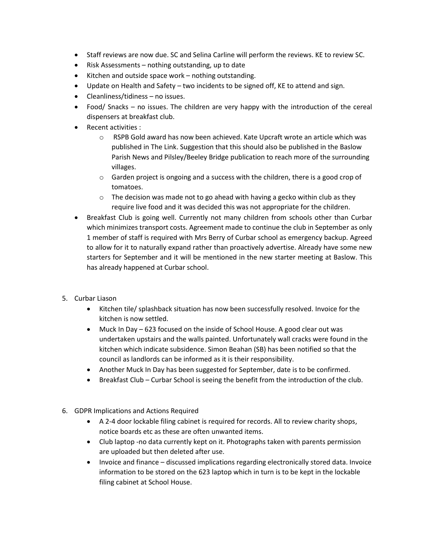- Staff reviews are now due. SC and Selina Carline will perform the reviews. KE to review SC.
- Risk Assessments nothing outstanding, up to date
- Kitchen and outside space work nothing outstanding.
- Update on Health and Safety two incidents to be signed off, KE to attend and sign.
- Cleanliness/tidiness no issues.
- Food/ Snacks no issues. The children are very happy with the introduction of the cereal dispensers at breakfast club.
- Recent activities :
	- o RSPB Gold award has now been achieved. Kate Upcraft wrote an article which was published in The Link. Suggestion that this should also be published in the Baslow Parish News and Pilsley/Beeley Bridge publication to reach more of the surrounding villages.
	- $\circ$  Garden project is ongoing and a success with the children, there is a good crop of tomatoes.
	- $\circ$  The decision was made not to go ahead with having a gecko within club as they require live food and it was decided this was not appropriate for the children.
- Breakfast Club is going well. Currently not many children from schools other than Curbar which minimizes transport costs. Agreement made to continue the club in September as only 1 member of staff is required with Mrs Berry of Curbar school as emergency backup. Agreed to allow for it to naturally expand rather than proactively advertise. Already have some new starters for September and it will be mentioned in the new starter meeting at Baslow. This has already happened at Curbar school.
- 5. Curbar Liason
	- Kitchen tile/ splashback situation has now been successfully resolved. Invoice for the kitchen is now settled.
	- Muck In Day 623 focused on the inside of School House. A good clear out was undertaken upstairs and the walls painted. Unfortunately wall cracks were found in the kitchen which indicate subsidence. Simon Beahan (SB) has been notified so that the council as landlords can be informed as it is their responsibility.
	- Another Muck In Day has been suggested for September, date is to be confirmed.
	- Breakfast Club Curbar School is seeing the benefit from the introduction of the club.
- 6. GDPR Implications and Actions Required
	- A 2-4 door lockable filing cabinet is required for records. All to review charity shops, notice boards etc as these are often unwanted items.
	- Club laptop -no data currently kept on it. Photographs taken with parents permission are uploaded but then deleted after use.
	- Invoice and finance discussed implications regarding electronically stored data. Invoice information to be stored on the 623 laptop which in turn is to be kept in the lockable filing cabinet at School House.